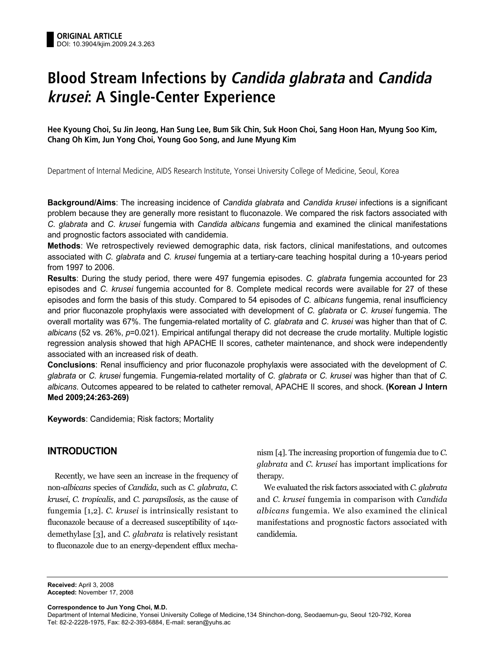# **Blood Stream Infections by Candida glabrata and Candida krusei: A Single-Center Experience**

**Hee Kyoung Choi, Su Jin Jeong, Han Sung Lee, Bum Sik Chin, Suk Hoon Choi, Sang Hoon Han, Myung Soo Kim, Chang Oh Kim, Jun Yong Choi, Young Goo Song, and June Myung Kim**

Department of Internal Medicine, AIDS Research Institute, Yonsei University College of Medicine, Seoul, Korea

**Background/Aims**: The increasing incidence of *Candida glabrata* and *Candida krusei* infections is a significant problem because they are generally more resistant to fluconazole. We compared the risk factors associated with *C. glabrata* and *C. krusei* fungemia with *Candida albicans* fungemia and examined the clinical manifestations and prognostic factors associated with candidemia.

**Methods**: We retrospectively reviewed demographic data, risk factors, clinical manifestations, and outcomes associated with *C. glabrata* and *C. krusei* fungemia at a tertiary-care teaching hospital during a 10-years period from 1997 to 2006.

**Results**: During the study period, there were 497 fungemia episodes. *C. glabrata* fungemia accounted for 23 episodes and *C. krusei* fungemia accounted for 8. Complete medical records were available for 27 of these episodes and form the basis of this study. Compared to 54 episodes of *C. albicans* fungemia, renal insufficiency and prior fluconazole prophylaxis were associated with development of *C. glabrata* or *C. krusei* fungemia. The overall mortality was 67%. The fungemia-related mortality of *C. glabrata* and *C. krusei* was higher than that of *C. albicans* (52 vs. 26%, *p*=0.021). Empirical antifungal therapy did not decrease the crude mortality. Multiple logistic regression analysis showed that high APACHE II scores, catheter maintenance, and shock were independently associated with an increased risk of death.

**Conclusions**: Renal insufficiency and prior fluconazole prophylaxis were associated with the development of *C. glabrata* or *C. krusei* fungemia. Fungemia-related mortality of *C. glabrata* or *C. krusei* was higher than that of *C. albicans*. Outcomes appeared to be related to catheter removal, APACHE II scores, and shock. **(Korean J Intern Med 2009;24:263-269)**

**Keywords**: Candidemia; Risk factors; Mortality

# **INTRODUCTION**

Recently, we have seen an increase in the frequency of non-*albicans* species of *Candida*, such as *C. glabrata*, *C. krusei*, *C. tropicalis*, and *C. parapsilosis*, as the cause of fungemia [1,2]. *C. krusei* is intrinsically resistant to fluconazole because of a decreased susceptibility of  $14\alpha$ demethylase [3], and *C. glabrata* is relatively resistant to fluconazole due to an energy-dependent efflux mechanism [4]. The increasing proportion of fungemia due to *C. glabrata* and *C. krusei* has important implications for therapy.

We evaluated the risk factors associated with *C. glabrata* and *C. krusei* fungemia in comparison with *Candida albicans* fungemia. We also examined the clinical manifestations and prognostic factors associated with candidemia.

**Received:** April 3, 2008 **Accepted:** November 17, 2008

**Correspondence to Jun Yong Choi, M.D.**

Department of Internal Medicine, Yonsei University College of Medicine,134 Shinchon-dong, Seodaemun-gu, Seoul 120-792, Korea Tel: 82-2-2228-1975, Fax: 82-2-393-6884, E-mail: seran@yuhs.ac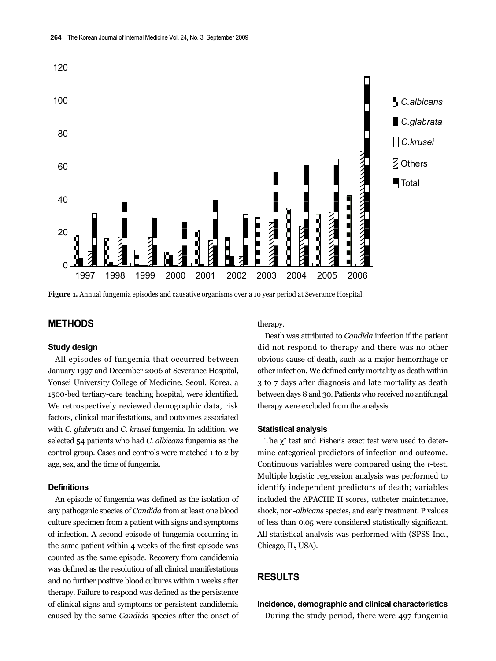

**Figure 1.** Annual fungemia episodes and causative organisms over a 10 year period at Severance Hospital.

## **METHODS**

## **Study design**

All episodes of fungemia that occurred between January 1997 and December 2006 at Severance Hospital, Yonsei University College of Medicine, Seoul, Korea, a 1500-bed tertiary-care teaching hospital, were identified. We retrospectively reviewed demographic data, risk factors, clinical manifestations, and outcomes associated with *C. glabrata* and *C. krusei* fungemia. In addition, we selected 54 patients who had *C. albicans* fungemia as the control group. Cases and controls were matched 1 to 2 by age, sex, and the time of fungemia.

## **Definitions**

An episode of fungemia was defined as the isolation of any pathogenic species of *Candida* from at least one blood culture specimen from a patient with signs and symptoms of infection. A second episode of fungemia occurring in the same patient within 4 weeks of the first episode was counted as the same episode. Recovery from candidemia was defined as the resolution of all clinical manifestations and no further positive blood cultures within 1 weeks after therapy. Failure to respond was defined as the persistence of clinical signs and symptoms or persistent candidemia caused by the same *Candida* species after the onset of therapy.

Death was attributed to *Candida* infection if the patient did not respond to therapy and there was no other obvious cause of death, such as a major hemorrhage or other infection. We defined early mortality as death within 3 to 7 days after diagnosis and late mortality as death between days 8 and 30. Patients who received no antifungal therapy were excluded from the analysis.

### **Statistical analysis**

The  $\chi^2$  test and Fisher's exact test were used to determine categorical predictors of infection and outcome. Continuous variables were compared using the *t*-test. Multiple logistic regression analysis was performed to identify independent predictors of death; variables included the APACHE II scores, catheter maintenance, shock, non-*albicans* species, and early treatment. P values of less than 0.05 were considered statistically significant. All statistical analysis was performed with (SPSS Inc., Chicago, IL, USA).

# **RESULTS**

**Incidence, demographic and clinical characteristics** During the study period, there were 497 fungemia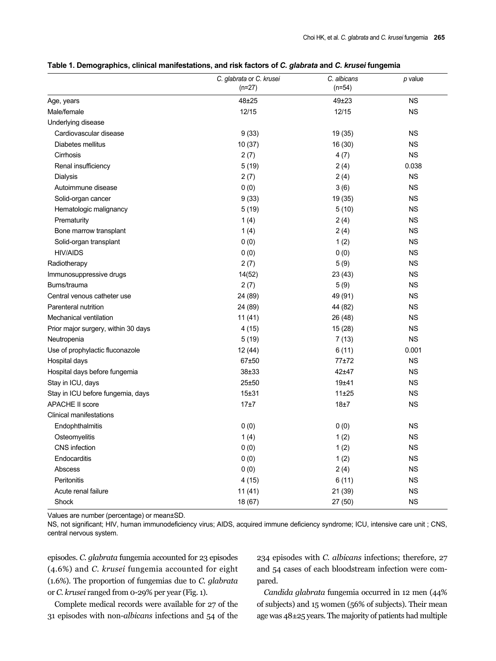|                                     | C. glabrata or C. krusei<br>$(n=27)$ | C. albicans<br>$(n=54)$ | $p$ value   |
|-------------------------------------|--------------------------------------|-------------------------|-------------|
| Age, years                          | 48±25                                | $49 + 23$               | <b>NS</b>   |
| Male/female                         | 12/15                                | 12/15                   | <b>NS</b>   |
| Underlying disease                  |                                      |                         |             |
| Cardiovascular disease              | 9(33)                                | 19 (35)                 | <b>NS</b>   |
| Diabetes mellitus                   | 10(37)                               | 16 (30)                 | <b>NS</b>   |
| Cirrhosis                           | 2(7)                                 | 4(7)                    | <b>NS</b>   |
| Renal insufficiency                 | 5(19)                                | 2(4)                    | 0.038       |
| Dialysis                            | 2(7)                                 | 2(4)                    | <b>NS</b>   |
| Autoimmune disease                  | 0(0)                                 | 3(6)                    | <b>NS</b>   |
| Solid-organ cancer                  | 9(33)                                | 19 (35)                 | <b>NS</b>   |
| Hematologic malignancy              | 5(19)                                | 5(10)                   | <b>NS</b>   |
| Prematurity                         | 1(4)                                 | 2(4)                    | <b>NS</b>   |
| Bone marrow transplant              | 1(4)                                 | 2(4)                    | <b>NS</b>   |
| Solid-organ transplant              | 0(0)                                 | 1(2)                    | <b>NS</b>   |
| <b>HIV/AIDS</b>                     | 0(0)                                 | 0(0)                    | <b>NS</b>   |
| Radiotherapy                        | 2(7)                                 | 5(9)                    | <b>NS</b>   |
| Immunosuppressive drugs             | 14(52)                               | 23 (43)                 | <b>NS</b>   |
| Burns/trauma                        | 2(7)                                 | 5(9)                    | <b>NS</b>   |
| Central venous catheter use         | 24 (89)                              | 49 (91)                 | <b>NS</b>   |
| Parenteral nutrition                | 24 (89)                              | 44 (82)                 | <b>NS</b>   |
| Mechanical ventilation              | 11(41)                               | 26 (48)                 | <b>NS</b>   |
| Prior major surgery, within 30 days | 4(15)                                | 15 (28)                 | <b>NS</b>   |
| Neutropenia                         | 5(19)                                | 7(13)                   | <b>NS</b>   |
| Use of prophylactic fluconazole     | 12(44)                               | 6(11)                   | 0.001       |
| Hospital days                       | 67±50                                | 77±72                   | <b>NS</b>   |
| Hospital days before fungemia       | $38 + 33$                            | $42 + 47$               | <b>NS</b>   |
| Stay in ICU, days                   | 25±50                                | 19±41                   | <b>NS</b>   |
| Stay in ICU before fungemia, days   | $15 + 31$                            | 11±25                   | <b>NS</b>   |
| <b>APACHE II score</b>              | 17±7                                 | 18±7                    | <b>NS</b>   |
| <b>Clinical manifestations</b>      |                                      |                         |             |
| Endophthalmitis                     | 0(0)                                 | 0(0)                    | <b>NS</b>   |
| Osteomyelitis                       | 1(4)                                 | 1(2)                    | <b>NS</b>   |
| CNS infection                       | 0(0)                                 | 1(2)                    | <b>NS</b>   |
| Endocarditis                        | 0(0)                                 | 1(2)                    | $_{\rm NS}$ |
| Abscess                             | 0(0)                                 | 2(4)                    | <b>NS</b>   |
| Peritonitis                         | 4(15)                                | 6(11)                   | <b>NS</b>   |
| Acute renal failure                 | 11(41)                               | 21 (39)                 | $_{\rm NS}$ |
| Shock                               | 18 (67)                              | 27 (50)                 | $_{\rm NS}$ |

## **Table 1. Demographics, clinical manifestations, and risk factors of** *C. glabrata* **and** *C. krusei* **fungemia**

Values are number (percentage) or mean±SD.

NS, not significant; HIV, human immunodeficiency virus; AIDS, acquired immune deficiency syndrome; ICU, intensive care unit ; CNS, central nervous system.

episodes. *C. glabrata* fungemia accounted for 23 episodes (4.6%) and *C. krusei* fungemia accounted for eight (1.6%). The proportion of fungemias due to *C. glabrata* or *C. krusei* ranged from 0-29% per year (Fig. 1).

Complete medical records were available for 27 of the 31 episodes with non-*albicans* infections and 54 of the 234 episodes with *C. albicans* infections; therefore, 27 and 54 cases of each bloodstream infection were compared.

*Candida glabrata* fungemia occurred in 12 men (44% of subjects) and 15 women (56% of subjects). Their mean age was 48±25 years. The majority of patients had multiple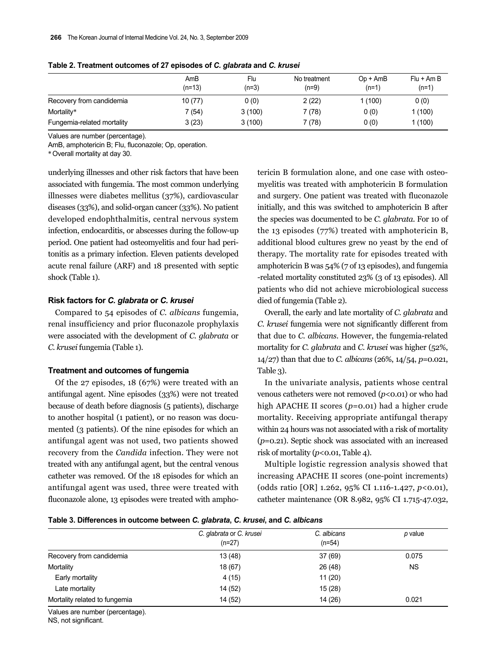|                            | AmB<br>$(n=13)$ | Flu<br>$(n=3)$ | No treatment<br>$(n=9)$ | $Op + A mB$<br>$(n=1)$ | $Flu + Am B$<br>$(n=1)$ |
|----------------------------|-----------------|----------------|-------------------------|------------------------|-------------------------|
| Recovery from candidemia   | 10 (77)         | 0(0)           | 2(22)                   | (100)                  | 0(0)                    |
| Mortality*                 | 7 (54)          | 3(100)         | 7 (78)                  | 0(0)                   | 1 (100)                 |
| Fungemia-related mortality | 3(23)           | 3(100)         | 7 (78)                  | 0(0)                   | 1 (100)                 |

**Table 2. Treatment outcomes of 27 episodes of** *C. glabrata* **and** *C. krusei*

Values are number (percentage).

AmB, amphotericin B; Flu, fluconazole; Op, operation.

\*Overall mortality at day 30.

underlying illnesses and other risk factors that have been associated with fungemia. The most common underlying illnesses were diabetes mellitus (37%), cardiovascular diseases (33%), and solid-organ cancer (33%). No patient developed endophthalmitis, central nervous system infection, endocarditis, or abscesses during the follow-up period. One patient had osteomyelitis and four had peritonitis as a primary infection. Eleven patients developed acute renal failure (ARF) and 18 presented with septic shock (Table 1).

## **Risk factors for** *C. glabrata* **or** *C. krusei*

Compared to 54 episodes of *C. albicans* fungemia, renal insufficiency and prior fluconazole prophylaxis were associated with the development of *C. glabrata* or *C. krusei* fungemia (Table 1).

### **Treatment and outcomes of fungemia**

Of the 27 episodes, 18 (67%) were treated with an antifungal agent. Nine episodes (33%) were not treated because of death before diagnosis (5 patients), discharge to another hospital (1 patient), or no reason was documented (3 patients). Of the nine episodes for which an antifungal agent was not used, two patients showed recovery from the *Candida* infection. They were not treated with any antifungal agent, but the central venous catheter was removed. Of the 18 episodes for which an antifungal agent was used, three were treated with fluconazole alone, 13 episodes were treated with amphotericin B formulation alone, and one case with osteomyelitis was treated with amphotericin B formulation and surgery. One patient was treated with fluconazole initially, and this was switched to amphotericin B after the species was documented to be *C. glabrata*. For 10 of the 13 episodes (77%) treated with amphotericin B, additional blood cultures grew no yeast by the end of therapy. The mortality rate for episodes treated with amphotericin B was 54% (7 of 13 episodes), and fungemia -related mortality constituted 23% (3 of 13 episodes). All patients who did not achieve microbiological success died of fungemia (Table 2).

Overall, the early and late mortality of *C. glabrata* and *C. krusei* fungemia were not significantly different from that due to *C. albicans*. However, the fungemia-related mortality for *C. glabrata* and *C. krusei* was higher (52%, 14/27) than that due to *C. albicans* (26%, 14/54, *p*=0.021, Table 3).

In the univariate analysis, patients whose central venous catheters were not removed ( $p$ <0.01) or who had high APACHE II scores (*p*=0.01) had a higher crude mortality. Receiving appropriate antifungal therapy within 24 hours was not associated with a risk of mortality (*p*=0.21). Septic shock was associated with an increased risk of mortality (*p*<0.01, Table 4).

Multiple logistic regression analysis showed that increasing APACHE II scores (one-point increments) (odds ratio [OR] 1.262, 95% CI 1.116-1.427, *p*<0.01), catheter maintenance (OR 8.982, 95% CI 1.715-47.032,

**Table 3. Differences in outcome between** *C. glabrata***,** *C. krusei***, and** *C. albicans*

| C. glabrata or C. krusei<br>$(n=27)$ | C. albicans<br>$(n=54)$ | p value   |
|--------------------------------------|-------------------------|-----------|
| 13 (48)                              | 37 (69)                 | 0.075     |
| 18 (67)                              | 26 (48)                 | <b>NS</b> |
| 4(15)                                | 11(20)                  |           |
| 14 (52)                              | 15(28)                  |           |
| 14 (52)                              | 14 (26)                 | 0.021     |
|                                      |                         |           |

Values are number (percentage).

NS, not significant.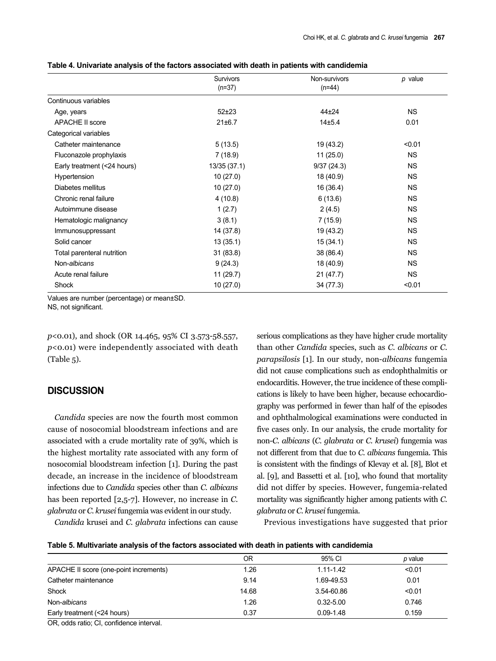|                             | <b>Survivors</b> | Non-survivors | p value   |
|-----------------------------|------------------|---------------|-----------|
|                             | $(n=37)$         | $(n=44)$      |           |
| Continuous variables        |                  |               |           |
| Age, years                  | $52+23$          | $44 + 24$     | <b>NS</b> |
| <b>APACHE II score</b>      | 21±6.7           | $14 + 5.4$    | 0.01      |
| Categorical variables       |                  |               |           |
| Catheter maintenance        | 5(13.5)          | 19 (43.2)     | < 0.01    |
| Fluconazole prophylaxis     | 7(18.9)          | 11(25.0)      | <b>NS</b> |
| Early treatment (<24 hours) | 13/35 (37.1)     | 9/37(24.3)    | <b>NS</b> |
| Hypertension                | 10(27.0)         | 18 (40.9)     | <b>NS</b> |
| Diabetes mellitus           | 10(27.0)         | 16 (36.4)     | <b>NS</b> |
| Chronic renal failure       | 4(10.8)          | 6(13.6)       | <b>NS</b> |
| Autoimmune disease          | 1(2.7)           | 2(4.5)        | <b>NS</b> |
| Hematologic malignancy      | 3(8.1)           | 7(15.9)       | <b>NS</b> |
| Immunosuppressant           | 14 (37.8)        | 19 (43.2)     | <b>NS</b> |
| Solid cancer                | 13(35.1)         | 15(34.1)      | <b>NS</b> |
| Total parenteral nutrition  | 31(83.8)         | 38 (86.4)     | <b>NS</b> |
| Non-albicans                | 9(24.3)          | 18 (40.9)     | <b>NS</b> |
| Acute renal failure         | 11 (29.7)        | 21(47.7)      | <b>NS</b> |
| Shock                       | 10 (27.0)        | 34 (77.3)     | < 0.01    |

**Table 4. Univariate analysis of the factors associated with death in patients with candidemia**

Values are number (percentage) or mean±SD.

NS, not significant.

*p*<0.01), and shock (OR 14.465, 95% CI 3.573-58.557, *p*<0.01) were independently associated with death (Table 5).

# **DISCUSSION**

*Candida* species are now the fourth most common cause of nosocomial bloodstream infections and are associated with a crude mortality rate of 39%, which is the highest mortality rate associated with any form of nosocomial bloodstream infection [1]. During the past decade, an increase in the incidence of bloodstream infections due to *Candida* species other than *C. albicans* has been reported [2,5-7]. However, no increase in *C. glabrata* or *C. krusei* fungemia was evident in our study.

*Candida* krusei and *C. glabrata* infections can cause

serious complications as they have higher crude mortality than other *Candida* species, such as *C. albicans* or *C. parapsilosis* [1]. In our study, non-*albicans* fungemia did not cause complications such as endophthalmitis or endocarditis. However, the true incidence of these complications is likely to have been higher, because echocardiography was performed in fewer than half of the episodes and ophthalmological examinations were conducted in five cases only. In our analysis, the crude mortality for non-*C. albicans* (*C. glabrata* or *C. krusei*) fungemia was not different from that due to *C. albicans* fungemia. This is consistent with the findings of Klevay et al. [8], Blot et al. [9], and Bassetti et al. [10], who found that mortality did not differ by species. However, fungemia-related mortality was significantly higher among patients with *C. glabrata* or *C. krusei* fungemia.

Previous investigations have suggested that prior

| Table 5. Multivariate analysis of the factors associated with death in patients with candidemia |  |  |  |  |  |
|-------------------------------------------------------------------------------------------------|--|--|--|--|--|
|-------------------------------------------------------------------------------------------------|--|--|--|--|--|

|                                        | 0R    | 95% CI        | p value |
|----------------------------------------|-------|---------------|---------|
| APACHE II score (one-point increments) | 1.26  | $1.11 - 1.42$ | < 0.01  |
| Catheter maintenance                   | 9.14  | 1.69-49.53    | 0.01    |
| Shock                                  | 14.68 | 3.54-60.86    | < 0.01  |
| Non-albicans                           | 1.26  | $0.32 - 5.00$ | 0.746   |
| Early treatment (<24 hours)            | 0.37  | $0.09 - 1.48$ | 0.159   |
|                                        |       |               |         |

OR, odds ratio; CI, confidence interval.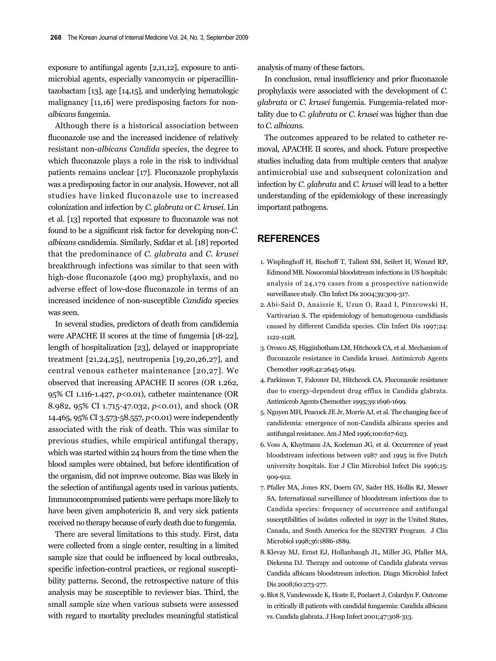exposure to antifungal agents [2,11,12], exposure to antimicrobial agents, especially vancomycin or piperacillintazobactam [13], age [14,15], and underlying hematologic malignancy [11,16] were predisposing factors for non*albicans* fungemia.

Although there is a historical association between fluconazole use and the increased incidence of relatively resistant non-*albicans Candida* species, the degree to which fluconazole plays a role in the risk to individual patients remains unclear [17]. Fluconazole prophylaxis was a predisposing factor in our analysis. However, not all studies have linked fluconazole use to increased colonization and infection by *C. glabrata* or *C. krusei*. Lin et al. [13] reported that exposure to fluconazole was not found to be a significant risk factor for developing non-*C. albicans* candidemia. Similarly, Safdar et al. [18] reported that the predominance of *C. glabrata* and *C. krusei* breakthrough infections was similar to that seen with high-dose fluconazole (400 mg) prophylaxis, and no adverse effect of low-dose fluconazole in terms of an increased incidence of non-susceptible *Candida* species was seen.

In several studies, predictors of death from candidemia were APACHE II scores at the time of fungemia [18-22], length of hospitalization [23], delayed or inappropriate treatment [21,24,25], neutropenia [19,20,26,27], and central venous catheter maintenance [20,27]. We observed that increasing APACHE II scores (OR 1.262, 95% CI 1.116-1.427, *p*<0.01), catheter maintenance (OR 8.982, 95% CI 1.715-47.032, *p*<0.01), and shock (OR 14.465, 95% CI 3.573-58.557, *p*<0.01) were independently associated with the risk of death. This was similar to previous studies, while empirical antifungal therapy, which was started within 24 hours from the time when the blood samples were obtained, but before identification of the organism, did not improve outcome. Bias was likely in the selection of antifungal agents used in various patients. Immunocompromised patients were perhaps more likely to have been given amphotericin B, and very sick patients received no therapy because of early death due to fungemia.

There are several limitations to this study. First, data were collected from a single center, resulting in a limited sample size that could be influenced by local outbreaks, specific infection-control practices, or regional susceptibility patterns. Second, the retrospective nature of this analysis may be susceptible to reviewer bias. Third, the small sample size when various subsets were assessed with regard to mortality precludes meaningful statistical analysis of many of these factors.

In conclusion, renal insufficiency and prior fluconazole prophylaxis were associated with the development of *C. glabrata* or *C. krusei* fungemia. Fungemia-related mortality due to *C. glabrata* or *C. krusei* was higher than due to *C. albicans*.

The outcomes appeared to be related to catheter removal, APACHE II scores, and shock. Future prospective studies including data from multiple centers that analyze antimicrobial use and subsequent colonization and infection by *C. glabrata* and *C. krusei* will lead to a better understanding of the epidemiology of these increasingly important pathogens.

# **REFERENCES**

- 1. Wisplinghoff H, Bischoff T, Tallent SM, Seifert H, Wenzel RP, Edmond MB. Nosocomial bloodstream infections in US hospitals: analysis of 24,179 cases from a prospective nationwide surveillance study. Clin Infect Dis 2004;39:309-317.
- 2. Abi-Said D, Anaissie E, Uzun O, Raad I, Pinzcowski H, Vartivarian S. The epidemiology of hematogenous candidiasis caused by different Candida species. Clin Infect Dis 1997;24: 1122-1128.
- 3. Orozco AS, Higginbotham LM, Hitchcock CA, et al. Mechanism of fluconazole resistance in Candida krusei. Antimicrob Agents Chemother 1998;42:2645-2649.
- 4. Parkinson T, Falconer DJ, Hitchcock CA. Fluconazole resistance due to energy-dependent drug efflux in Candida glabrata. Antimicrob Agents Chemother 1995;39:1696-1699.
- 5. Nguyen MH, Peacock JE Jr, Morris AJ, et al. The changing face of candidemia: emergence of non-Candida albicans species and antifungal resistance. Am J Med 1996;100:617-623.
- 6. Voss A, Kluytmans JA, Koeleman JG, et al. Occurrence of yeast bloodstream infections between 1987 and 1995 in five Dutch university hospitals. Eur J Clin Microbiol Infect Dis 1996;15: 909-912.
- 7. Pfaller MA, Jones RN, Doern GV, Sader HS, Hollis RJ, Messer SA. International surveillance of bloodstream infections due to Candida species: frequency of occurrence and antifungal susceptibilities of isolates collected in 1997 in the United States, Canada, and South America for the SENTRY Program. J Clin Microbiol 1998;36:1886-1889.
- 8. Klevay MJ, Ernst EJ, Hollanbaugh JL, Miller JG, Pfaller MA, Diekema DJ. Therapy and outcome of Candida glabrata versus Candida albicans bloodstream infection. Diagn Microbiol Infect Dis 2008;60:273-277.
- 9. Blot S, Vandewoude K, Hoste E, Poelaert J, Colardyn F. Outcome in critically ill patients with candidal fungaemia: Candida albicans vs. Candida glabrata. J Hosp Infect 2001;47:308-313.